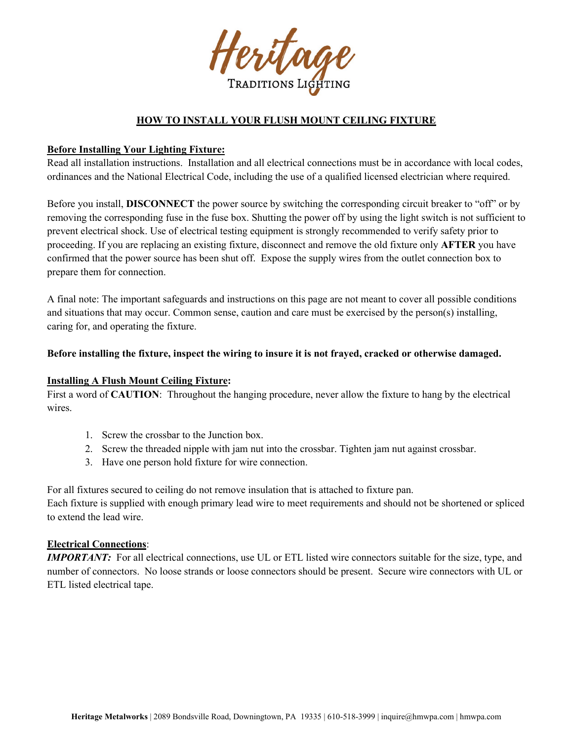

# **HOW TO INSTALL YOUR FLUSH MOUNT CEILING FIXTURE**

#### **Before Installing Your Lighting Fixture:**

Read all installation instructions. Installation and all electrical connections must be in accordance with local codes, ordinances and the National Electrical Code, including the use of a qualified licensed electrician where required.

Before you install, **DISCONNECT** the power source by switching the corresponding circuit breaker to "off" or by removing the corresponding fuse in the fuse box. Shutting the power off by using the light switch is not sufficient to prevent electrical shock. Use of electrical testing equipment is strongly recommended to verify safety prior to proceeding. If you are replacing an existing fixture, disconnect and remove the old fixture only **AFTER** you have confirmed that the power source has been shut off. Expose the supply wires from the outlet connection box to prepare them for connection.

A final note: The important safeguards and instructions on this page are not meant to cover all possible conditions and situations that may occur. Common sense, caution and care must be exercised by the person(s) installing, caring for, and operating the fixture.

#### **Before installing the fixture, inspect the wiring to insure it is not frayed, cracked or otherwise damaged.**

## **Installing A Flush Mount Ceiling Fixture:**

First a word of **CAUTION**: Throughout the hanging procedure, never allow the fixture to hang by the electrical wires.

- 1. Screw the crossbar to the Junction box.
- 2. Screw the threaded nipple with jam nut into the crossbar. Tighten jam nut against crossbar.
- 3. Have one person hold fixture for wire connection.

For all fixtures secured to ceiling do not remove insulation that is attached to fixture pan. Each fixture is supplied with enough primary lead wire to meet requirements and should not be shortened or spliced to extend the lead wire.

## **Electrical Connections**:

*IMPORTANT*: For all electrical connections, use UL or ETL listed wire connectors suitable for the size, type, and number of connectors. No loose strands or loose connectors should be present. Secure wire connectors with UL or ETL listed electrical tape.